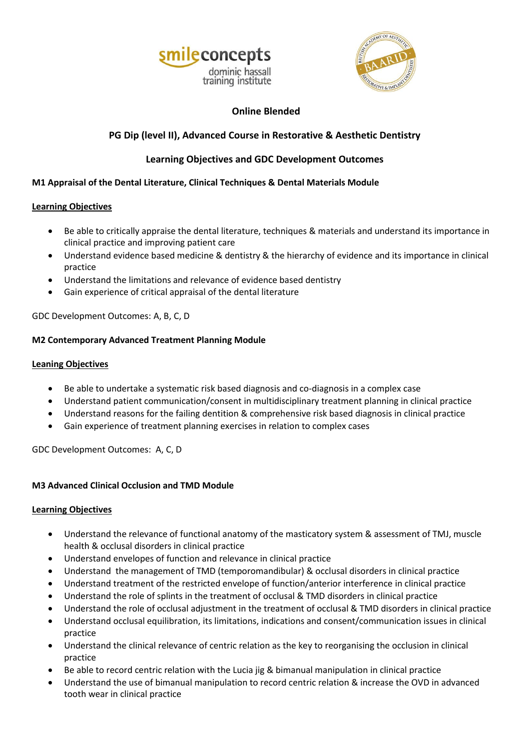



## **Online Blended**

# **PG Dip (level II), Advanced Course in Restorative & Aesthetic Dentistry**

# **Learning Objectives and GDC Development Outcomes**

## **M1 Appraisal of the Dental Literature, Clinical Techniques & Dental Materials Module**

## **Learning Objectives**

- Be able to critically appraise the dental literature, techniques & materials and understand its importance in clinical practice and improving patient care
- Understand evidence based medicine & dentistry & the hierarchy of evidence and its importance in clinical practice
- Understand the limitations and relevance of evidence based dentistry
- Gain experience of critical appraisal of the dental literature

GDC Development Outcomes: A, B, C, D

## **M2 Contemporary Advanced Treatment Planning Module**

## **Leaning Objectives**

- Be able to undertake a systematic risk based diagnosis and co-diagnosis in a complex case
- Understand patient communication/consent in multidisciplinary treatment planning in clinical practice
- Understand reasons for the failing dentition & comprehensive risk based diagnosis in clinical practice
- Gain experience of treatment planning exercises in relation to complex cases

GDC Development Outcomes: A, C, D

## **M3 Advanced Clinical Occlusion and TMD Module**

### **Learning Objectives**

- Understand the relevance of functional anatomy of the masticatory system & assessment of TMJ, muscle health & occlusal disorders in clinical practice
- Understand envelopes of function and relevance in clinical practice
- Understand the management of TMD (temporomandibular) & occlusal disorders in clinical practice
- Understand treatment of the restricted envelope of function/anterior interference in clinical practice
- Understand the role of splints in the treatment of occlusal & TMD disorders in clinical practice
- Understand the role of occlusal adjustment in the treatment of occlusal & TMD disorders in clinical practice
- Understand occlusal equilibration, its limitations, indications and consent/communication issues in clinical practice
- Understand the clinical relevance of centric relation as the key to reorganising the occlusion in clinical practice
- Be able to record centric relation with the Lucia jig & bimanual manipulation in clinical practice
- Understand the use of bimanual manipulation to record centric relation & increase the OVD in advanced tooth wear in clinical practice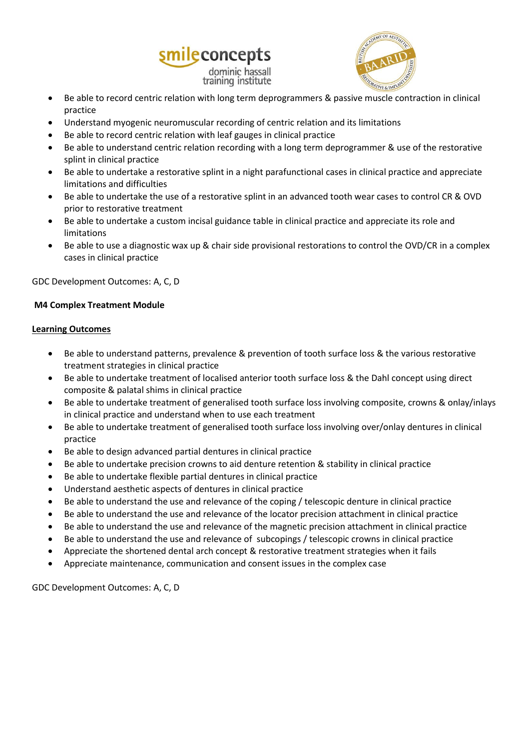



- Be able to record centric relation with long term deprogrammers & passive muscle contraction in clinical practice
- Understand myogenic neuromuscular recording of centric relation and its limitations
- Be able to record centric relation with leaf gauges in clinical practice
- Be able to understand centric relation recording with a long term deprogrammer & use of the restorative splint in clinical practice
- Be able to undertake a restorative splint in a night parafunctional cases in clinical practice and appreciate limitations and difficulties
- Be able to undertake the use of a restorative splint in an advanced tooth wear cases to control CR & OVD prior to restorative treatment
- Be able to undertake a custom incisal guidance table in clinical practice and appreciate its role and limitations
- Be able to use a diagnostic wax up & chair side provisional restorations to control the OVD/CR in a complex cases in clinical practice

#### GDC Development Outcomes: A, C, D

#### **M4 Complex Treatment Module**

#### **Learning Outcomes**

- Be able to understand patterns, prevalence & prevention of tooth surface loss & the various restorative treatment strategies in clinical practice
- Be able to undertake treatment of localised anterior tooth surface loss & the Dahl concept using direct composite & palatal shims in clinical practice
- Be able to undertake treatment of generalised tooth surface loss involving composite, crowns & onlay/inlays in clinical practice and understand when to use each treatment
- Be able to undertake treatment of generalised tooth surface loss involving over/onlay dentures in clinical practice
- Be able to design advanced partial dentures in clinical practice
- Be able to undertake precision crowns to aid denture retention & stability in clinical practice
- Be able to undertake flexible partial dentures in clinical practice
- Understand aesthetic aspects of dentures in clinical practice
- Be able to understand the use and relevance of the coping / telescopic denture in clinical practice
- Be able to understand the use and relevance of the locator precision attachment in clinical practice
- Be able to understand the use and relevance of the magnetic precision attachment in clinical practice
- Be able to understand the use and relevance of subcopings / telescopic crowns in clinical practice
- Appreciate the shortened dental arch concept & restorative treatment strategies when it fails
- Appreciate maintenance, communication and consent issues in the complex case

GDC Development Outcomes: A, C, D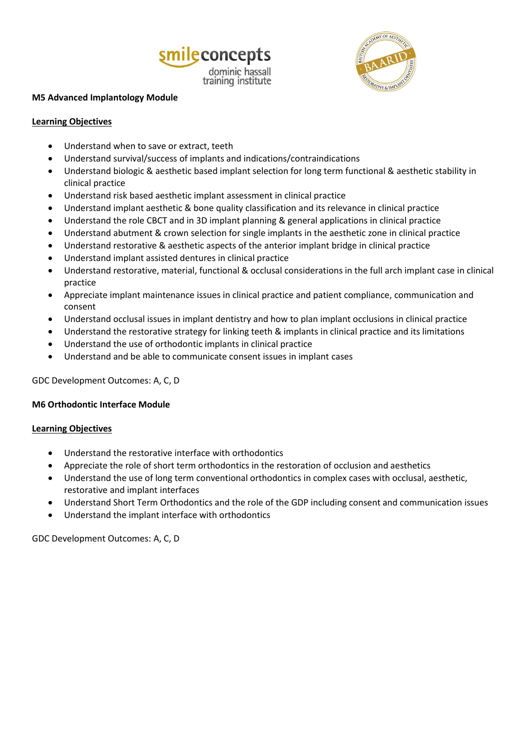



#### **M5 Advanced Implantology Module**

### **Learning Objectives**

- Understand when to save or extract, teeth
- Understand survival/success of implants and indications/contraindications
- Understand biologic & aesthetic based implant selection for long term functional & aesthetic stability in clinical practice
- Understand risk based aesthetic implant assessment in clinical practice
- Understand implant aesthetic & bone quality classification and its relevance in clinical practice
- Understand the role CBCT and in 3D implant planning & general applications in clinical practice
- Understand abutment & crown selection for single implants in the aesthetic zone in clinical practice
- Understand restorative & aesthetic aspects of the anterior implant bridge in clinical practice
- Understand implant assisted dentures in clinical practice
- Understand restorative, material, functional & occlusal considerations in the full arch implant case in clinical practice
- Appreciate implant maintenance issues in clinical practice and patient compliance, communication and consent
- Understand occlusal issues in implant dentistry and how to plan implant occlusions in clinical practice
- Understand the restorative strategy for linking teeth & implants in clinical practice and its limitations
- Understand the use of orthodontic implants in clinical practice
- Understand and be able to communicate consent issues in implant cases

GDC Development Outcomes: A, C, D

#### **M6 Orthodontic Interface Module**

### **Learning Objectives**

- Understand the restorative interface with orthodontics
- Appreciate the role of short term orthodontics in the restoration of occlusion and aesthetics
- Understand the use of long term conventional orthodontics in complex cases with occlusal, aesthetic, restorative and implant interfaces
- Understand Short Term Orthodontics and the role of the GDP including consent and communication issues
- Understand the implant interface with orthodontics

GDC Development Outcomes: A, C, D